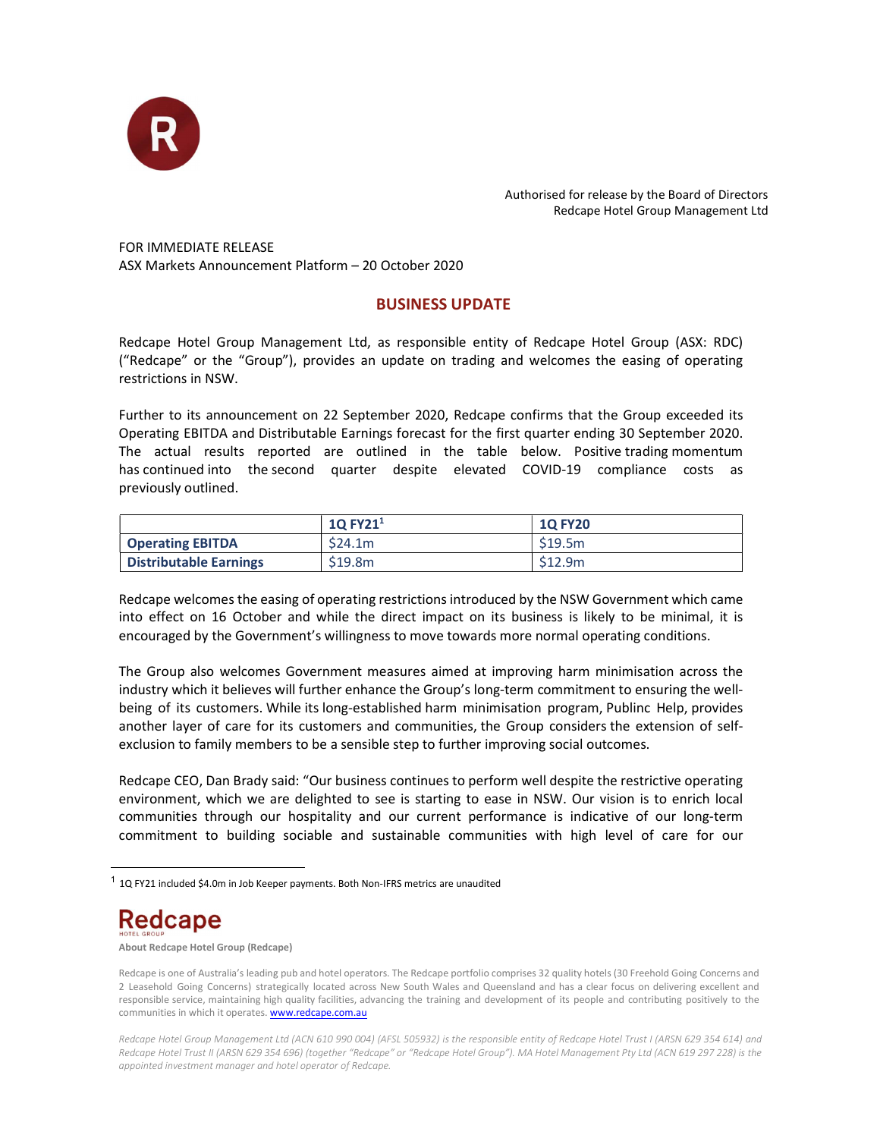

Authorised for release by the Board of Directors Redcape Hotel Group Management Ltd

FOR IMMEDIATE RELEASE ASX Markets Announcement Platform – 20 October 2020

## BUSINESS UPDATE

Redcape Hotel Group Management Ltd, as responsible entity of Redcape Hotel Group (ASX: RDC) ("Redcape" or the "Group"), provides an update on trading and welcomes the easing of operating restrictions in NSW.

Further to its announcement on 22 September 2020, Redcape confirms that the Group exceeded its Operating EBITDA and Distributable Earnings forecast for the first quarter ending 30 September 2020. The actual results reported are outlined in the table below. Positive trading momentum has continued into the second quarter despite elevated COVID-19 compliance costs as previously outlined.

|                               | $10$ EV <sub>21</sub><br><b>TALLA</b> | <b>1Q FY20</b> |
|-------------------------------|---------------------------------------|----------------|
| <b>Operating EBITDA</b>       | \$24.1m                               | \$19.5m        |
| <b>Distributable Earnings</b> | \$19.8m                               | \$12.9m        |

Redcape welcomes the easing of operating restrictions introduced by the NSW Government which came into effect on 16 October and while the direct impact on its business is likely to be minimal, it is encouraged by the Government's willingness to move towards more normal operating conditions.

The Group also welcomes Government measures aimed at improving harm minimisation across the industry which it believes will further enhance the Group's long-term commitment to ensuring the wellbeing of its customers. While its long-established harm minimisation program, Publinc Help, provides another layer of care for its customers and communities, the Group considers the extension of selfexclusion to family members to be a sensible step to further improving social outcomes.

Redcape CEO, Dan Brady said: "Our business continues to perform well despite the restrictive operating environment, which we are delighted to see is starting to ease in NSW. Our vision is to enrich local communities through our hospitality and our current performance is indicative of our long-term commitment to building sociable and sustainable communities with high level of care for our

## **Redcape**

About Redcape Hotel Group (Redcape)

<sup>&</sup>lt;sup>1</sup> 1Q FY21 included \$4.0m in Job Keeper payments. Both Non-IFRS metrics are unaudited

Redcape is one of Australia's leading pub and hotel operators. The Redcape portfolio comprises 32 quality hotels (30 Freehold Going Concerns and 2 Leasehold Going Concerns) strategically located across New South Wales and Queensland and has a clear focus on delivering excellent and responsible service, maintaining high quality facilities, advancing the training and development of its people and contributing positively to the communities in which it operates. **www.redcape.com.au** 

Redcape Hotel Group Management Ltd (ACN 610 990 004) (AFSL 505932) is the responsible entity of Redcape Hotel Trust I (ARSN 629 354 614) and Redcape Hotel Trust II (ARSN 629 354 696) (together "Redcape" or "Redcape Hotel Group"). MA Hotel Management Pty Ltd (ACN 619 297 228) is the appointed investment manager and hotel operator of Redcape.